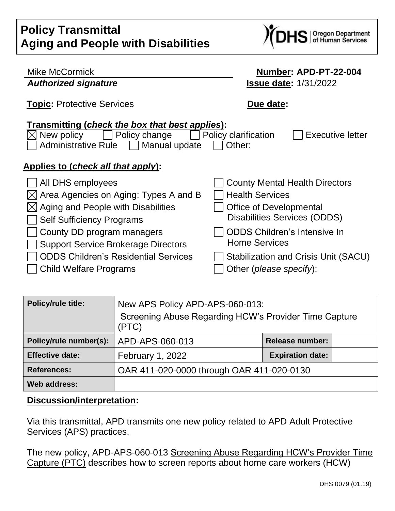# **Policy Transmittal Aging and People with Disabilities**



| Mike McCormick                                                                                                                  | Number: APD-PT-22-004                                     |  |  |
|---------------------------------------------------------------------------------------------------------------------------------|-----------------------------------------------------------|--|--|
| <b>Authorized signature</b>                                                                                                     | <b>Issue date: 1/31/2022</b>                              |  |  |
| <b>Topic: Protective Services</b>                                                                                               | Due date:                                                 |  |  |
| Transmitting (check the box that best applies):<br>Policy change<br>New policy<br><b>Administrative Rule</b><br>  Manual update | <b>Executive letter</b><br>Policy clarification<br>Other: |  |  |
| Applies to (check all that apply):                                                                                              |                                                           |  |  |
| All DHS employees                                                                                                               | <b>County Mental Health Directors</b>                     |  |  |
| Area Agencies on Aging: Types A and B                                                                                           | <b>Health Services</b>                                    |  |  |
| Aging and People with Disabilities                                                                                              | <b>Office of Developmental</b>                            |  |  |
| <b>Self Sufficiency Programs</b>                                                                                                | Disabilities Services (ODDS)                              |  |  |
| County DD program managers                                                                                                      | <b>ODDS Children's Intensive In</b>                       |  |  |
| <b>Support Service Brokerage Directors</b>                                                                                      | <b>Home Services</b>                                      |  |  |
| ODDS Children's Residential Services                                                                                            | Stabilization and Crisis Unit (SACU)                      |  |  |
| Child Welfare Programs                                                                                                          | Other (please specify):                                   |  |  |

| <b>Policy/rule title:</b> | New APS Policy APD-APS-060-013:<br>Screening Abuse Regarding HCW's Provider Time Capture<br>(PTC) |                         |  |
|---------------------------|---------------------------------------------------------------------------------------------------|-------------------------|--|
| Policy/rule number(s):    | APD-APS-060-013                                                                                   | <b>Release number:</b>  |  |
| <b>Effective date:</b>    | <b>February 1, 2022</b>                                                                           | <b>Expiration date:</b> |  |
| <b>References:</b>        | OAR 411-020-0000 through OAR 411-020-0130                                                         |                         |  |
| <b>Web address:</b>       |                                                                                                   |                         |  |

## **Discussion/interpretation:**

Via this transmittal, APD transmits one new policy related to APD Adult Protective Services (APS) practices.

The new policy, APD-APS-060-013 Screening Abuse Regarding HCW's Provider Time Capture (PTC) describes how to screen reports about home care workers (HCW)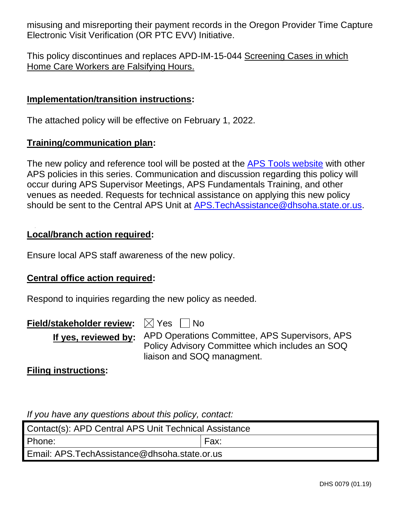misusing and misreporting their payment records in the Oregon Provider Time Capture Electronic Visit Verification (OR PTC EVV) Initiative.

This policy discontinues and replaces APD-IM-15-044 Screening Cases in which Home Care Workers are Falsifying Hours.

#### **Implementation/transition instructions:**

The attached policy will be effective on February 1, 2022.

#### **Training/communication plan:**

The new policy and reference tool will be posted at the [APS Tools website](https://dhsoha.sharepoint.com/teams/Hub-ODHS-APD-Staff-Tools/SitePages/APS-Staff-Tools.aspx) with other APS policies in this series. Communication and discussion regarding this policy will occur during APS Supervisor Meetings, APS Fundamentals Training, and other venues as needed. Requests for technical assistance on applying this new policy should be sent to the Central APS Unit at [APS.TechAssistance@dhsoha.state.or.us.](mailto:APS.TechAssistance@dhsoha.state.or.us)

#### **Local/branch action required:**

Ensure local APS staff awareness of the new policy.

#### **Central office action required:**

Respond to inquiries regarding the new policy as needed.

**Field/stakeholder review:**  $\boxtimes$  Yes  $\Box$  No

**If yes, reviewed by:** APD Operations Committee, APS Supervisors, APS Policy Advisory Committee which includes an SOQ liaison and SOQ managment.

**Filing instructions:**

*If you have any questions about this policy, contact:*

| Contact(s): APD Central APS Unit Technical Assistance |      |  |  |  |
|-------------------------------------------------------|------|--|--|--|
| Phone:                                                | Fax: |  |  |  |
| Email: APS.TechAssistance@dhsoha.state.or.us          |      |  |  |  |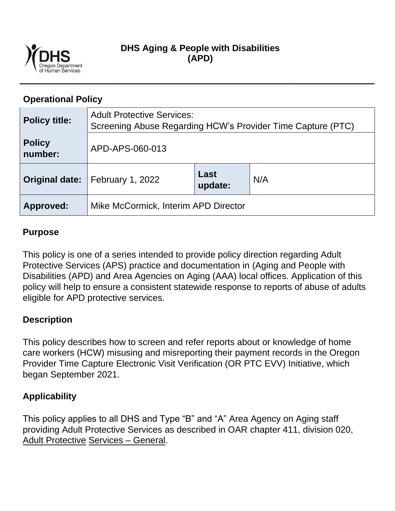

## **DHS Aging & People with Disabilities (APD)**

## **Operational Policy**

| <b>Policy title:</b>     | <b>Adult Protective Services:</b><br>Screening Abuse Regarding HCW's Provider Time Capture (PTC) |                 |     |  |
|--------------------------|--------------------------------------------------------------------------------------------------|-----------------|-----|--|
| <b>Policy</b><br>number: | APD-APS-060-013                                                                                  |                 |     |  |
|                          | <b>Original date:</b>   February 1, 2022                                                         | Last<br>update: | N/A |  |
| Approved:                | Mike McCormick, Interim APD Director                                                             |                 |     |  |

## **Purpose**

This policy is one of a series intended to provide policy direction regarding Adult Protective Services (APS) practice and documentation in (Aging and People with Disabilities (APD) and Area Agencies on Aging (AAA) local offices. Application of this policy will help to ensure a consistent statewide response to reports of abuse of adults eligible for APD protective services.

## **Description**

This policy describes how to screen and refer reports about or knowledge of home care workers (HCW) misusing and misreporting their payment records in the Oregon Provider Time Capture Electronic Visit Verification (OR PTC EVV) Initiative, which began September 2021.

## **Applicability**

This policy applies to all DHS and Type "B" and "A" Area Agency on Aging staff providing Adult Protective Services as described in OAR chapter 411, division 020, Adult Protective Services – General.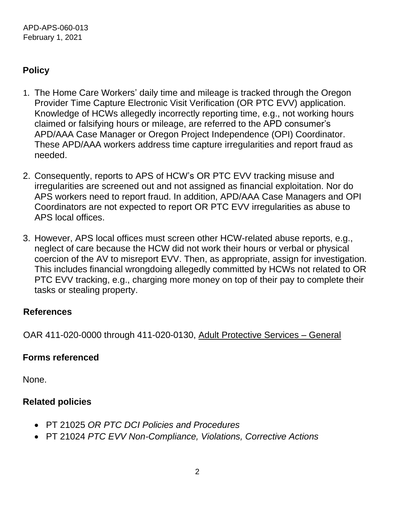# **Policy**

- 1. The Home Care Workers' daily time and mileage is tracked through the Oregon Provider Time Capture Electronic Visit Verification (OR PTC EVV) application. Knowledge of HCWs allegedly incorrectly reporting time, e.g., not working hours claimed or falsifying hours or mileage, are referred to the APD consumer's APD/AAA Case Manager or Oregon Project Independence (OPI) Coordinator. These APD/AAA workers address time capture irregularities and report fraud as needed.
- 2. Consequently, reports to APS of HCW's OR PTC EVV tracking misuse and irregularities are screened out and not assigned as financial exploitation. Nor do APS workers need to report fraud. In addition, APD/AAA Case Managers and OPI Coordinators are not expected to report OR PTC EVV irregularities as abuse to APS local offices.
- 3. However, APS local offices must screen other HCW-related abuse reports, e.g., neglect of care because the HCW did not work their hours or verbal or physical coercion of the AV to misreport EVV. Then, as appropriate, assign for investigation. This includes financial wrongdoing allegedly committed by HCWs not related to OR PTC EVV tracking, e.g., charging more money on top of their pay to complete their tasks or stealing property.

## **References**

OAR 411-020-0000 through 411-020-0130, Adult Protective Services – General

# **Forms referenced**

None.

# **Related policies**

- PT 21025 *OR PTC DCI Policies and Procedures*
- PT 21024 *PTC EVV Non-Compliance, Violations, Corrective Actions*